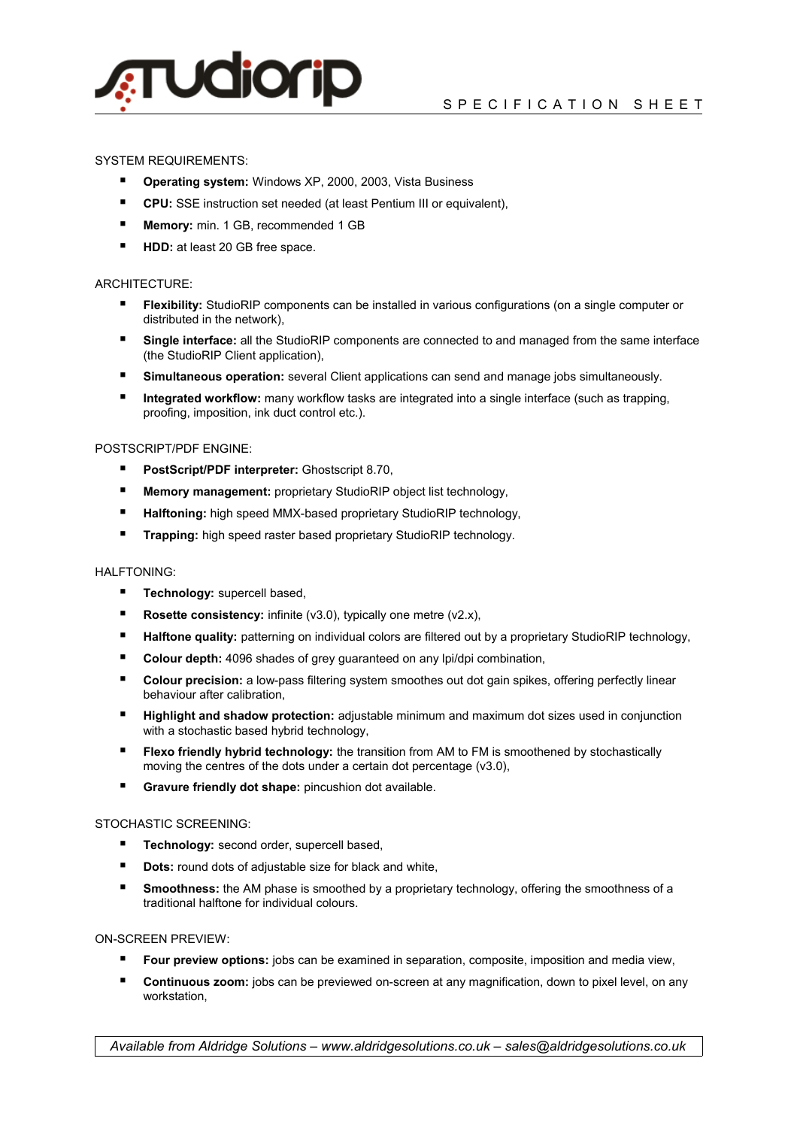

## SYSTEM REQUIREMENTS:

- **Operating system:** Windows XP, 2000, 2003, Vista Business
- CPU: SSE instruction set needed (at least Pentium III or equivalent),
- **Memory:** min. 1 GB, recommended 1 GB
- **HDD:** at least 20 GB free space.

## ARCHITECTURE:

- **Flexibility:** StudioRIP components can be installed in various configurations (on a single computer or distributed in the network),
- **Single interface:** all the StudioRIP components are connected to and managed from the same interface (the StudioRIP Client application),
- **Simultaneous operation:** several Client applications can send and manage jobs simultaneously.
- **Integrated workflow:** many workflow tasks are integrated into a single interface (such as trapping, proofing, imposition, ink duct control etc.).

### POSTSCRIPT/PDF ENGINE:

- **PostScript/PDF interpreter:** Ghostscript 8.70,
- **Memory management:** proprietary StudioRIP object list technology,
- **Halftoning:** high speed MMX-based proprietary StudioRIP technology,
- **Trapping:** high speed raster based proprietary StudioRIP technology.

### HALFTONING:

- **Technology:** supercell based,
- **Rosette consistency:** infinite (v3.0), typically one metre (v2.x),
- **Halftone quality:** patterning on individual colors are filtered out by a proprietary StudioRIP technology,
- Colour depth: 4096 shades of grey guaranteed on any lpi/dpi combination,
- **Colour precision:** a low-pass filtering system smoothes out dot gain spikes, offering perfectly linear behaviour after calibration,
- **Highlight and shadow protection:** adjustable minimum and maximum dot sizes used in conjunction with a stochastic based hybrid technology,
- **Fiexo friendly hybrid technology:** the transition from AM to FM is smoothened by stochastically moving the centres of the dots under a certain dot percentage (v3.0),
- **Gravure friendly dot shape:** pincushion dot available.

#### STOCHASTIC SCREENING:

- **Technology:** second order, supercell based,
- **Dots:** round dots of adjustable size for black and white,
- **Smoothness:** the AM phase is smoothed by a proprietary technology, offering the smoothness of a traditional halftone for individual colours.

### ON-SCREEN PREVIEW:

- **Four preview options:** jobs can be examined in separation, composite, imposition and media view,
- **Continuous zoom:** jobs can be previewed on-screen at any magnification, down to pixel level, on any workstation,

*Available from Aldridge Solutions – www.aldridgesolutions.co.uk – sales@aldridgesolutions.co.uk*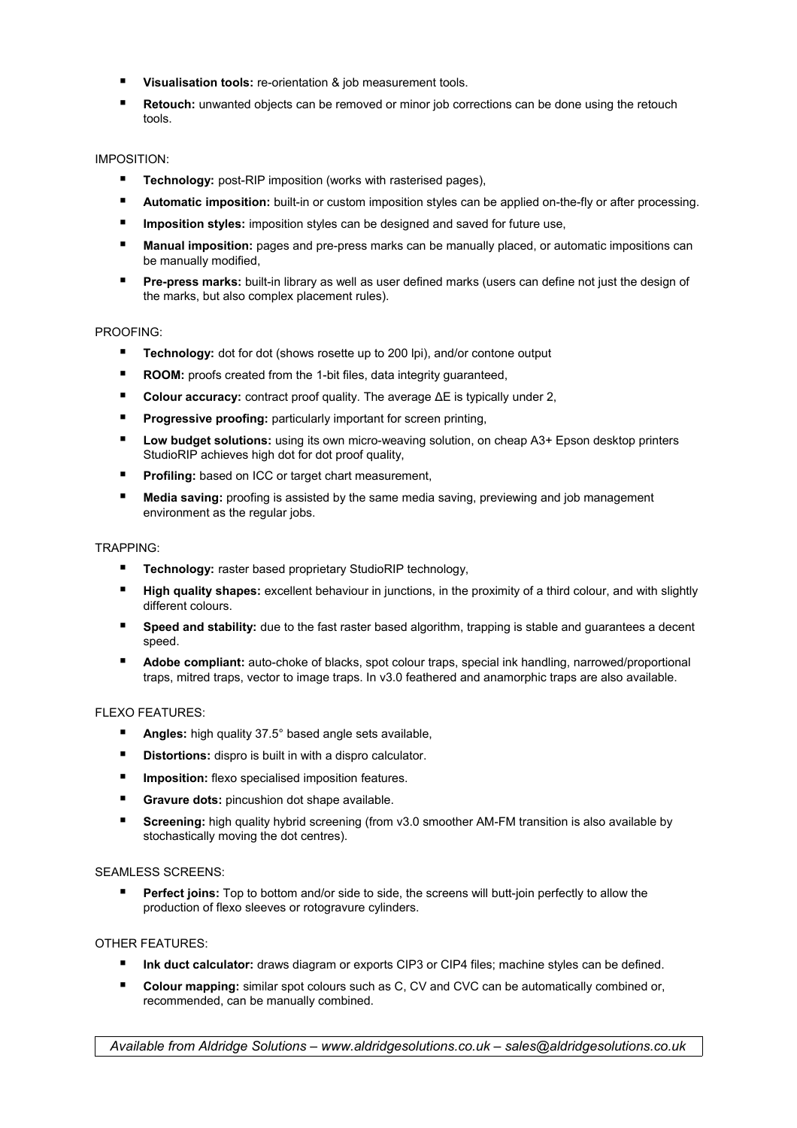- **Visualisation tools:** re-orientation & job measurement tools.
- **Retouch:** unwanted objects can be removed or minor job corrections can be done using the retouch tools.

# IMPOSITION:

- **Technology:** post-RIP imposition (works with rasterised pages),
- **Automatic imposition:** built-in or custom imposition styles can be applied on-the-fly or after processing.
- **Imposition styles:** imposition styles can be designed and saved for future use,
- **Manual imposition:** pages and pre-press marks can be manually placed, or automatic impositions can be manually modified,
- **Pre-press marks:** built-in library as well as user defined marks (users can define not just the design of the marks, but also complex placement rules).

## PROOFING:

- **Technology:** dot for dot (shows rosette up to 200 lpi), and/or contone output
- **ROOM:** proofs created from the 1-bit files, data integrity guaranteed,
- **Colour accuracy:** contract proof quality. The average ΔE is typically under 2,
- **Progressive proofing:** particularly important for screen printing,
- Low budget solutions: using its own micro-weaving solution, on cheap A3+ Epson desktop printers StudioRIP achieves high dot for dot proof quality,
- **Profiling:** based on ICC or target chart measurement,
- **Media saving:** proofing is assisted by the same media saving, previewing and job management environment as the regular jobs.

### TRAPPING:

- **Technology:** raster based proprietary StudioRIP technology,
- **High quality shapes:** excellent behaviour in junctions, in the proximity of a third colour, and with slightly different colours.
- **Speed and stability:** due to the fast raster based algorithm, trapping is stable and quarantees a decent speed.
- **Adobe compliant:** auto-choke of blacks, spot colour traps, special ink handling, narrowed/proportional traps, mitred traps, vector to image traps. In v3.0 feathered and anamorphic traps are also available.

## FLEXO FEATURES:

- **Angles:** high quality 37.5° based angle sets available,
- **Distortions:** dispro is built in with a dispro calculator.
- **Imposition:** flexo specialised imposition features.
- **Gravure dots:** pincushion dot shape available.
- **Screening:** high quality hybrid screening (from v3.0 smoother AM-FM transition is also available by stochastically moving the dot centres).

### SEAMLESS SCREENS:

Perfect joins: Top to bottom and/or side to side, the screens will butt-join perfectly to allow the production of flexo sleeves or rotogravure cylinders.

### OTHER FEATURES:

- **Ink duct calculator:** draws diagram or exports CIP3 or CIP4 files; machine styles can be defined.
- **Colour mapping:** similar spot colours such as C, CV and CVC can be automatically combined or, recommended, can be manually combined.

*Available from Aldridge Solutions – www.aldridgesolutions.co.uk – sales@aldridgesolutions.co.uk*